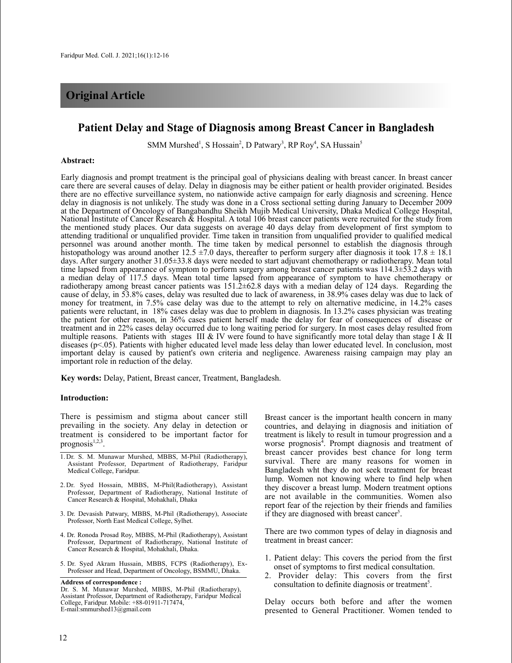# **Original Article**

## **Patient Delay and Stage of Diagnosis among Breast Cancer in Bangladesh**

SMM Murshed<sup>1</sup>, S Hossain<sup>2</sup>, D Patwary<sup>3</sup>, RP Roy<sup>4</sup>, SA Hussain<sup>5</sup>

#### **Abstract:**

Early diagnosis and prompt treatment is the principal goal of physicians dealing with breast cancer. In breast cancer care there are several causes of delay. Delay in diagnosis may be either patient or health provider originated. Besides there are no effective surveillance system, no nationwide active campaign for early diagnosis and screening. Hence delay in diagnosis is not unlikely. The study was done in a Cross sectional setting during January to December 2009 at the Department of Oncology of Bangabandhu Sheikh Mujib Medical University, Dhaka Medical College Hospital, National Institute of Cancer Research & Hospital. A total 106 breast cancer patients were recruited for the study from the mentioned study places. Our data suggests on average 40 days delay from development of first symptom to attending traditional or unqualified provider. Time taken in transition from unqualified provider to qualified medical personnel was around another month. The time taken by medical personnel to establish the diagnosis through histopathology was around another 12.5  $\pm$ 7.0 days, thereafter to perform surgery after diagnosis it took 17.8  $\pm$  18.1 days. After surgery another 31.05±33.8 days were needed to start adjuvant chemotherapy or radiotherapy. Mean total time lapsed from appearance of symptom to perform surgery among breast cancer patients was 114.3±53.2 days with a median delay of 117.5 days. Mean total time lapsed from appearance of symptom to have chemotherapy or radiotherapy among breast cancer patients was 151.2±62.8 days with a median delay of 124 days. Regarding the cause of delay, in 53.8% cases, delay was resulted due to lack of awareness, in 38.9% cases delay was due to lack of money for treatment, in 7.5% case delay was due to the attempt to rely on alternative medicine, in 14.2% cases patients were reluctant, in 18% cases delay was due to problem in diagnosis. In 13.2% cases physician was treating the patient for other reason, in 36% cases patient herself made the delay for fear of consequences of disease or treatment and in 22% cases delay occurred due to long waiting period for surgery. In most cases delay resulted from multiple reasons. Patients with stages III  $&$  IV were found to have significantly more total delay than stage I  $&$  II diseases (p<.05). Patients with higher educated level made less delay than lower educated level. In conclusion, most important delay is caused by patient's own criteria and negligence. Awareness raising campaign may play an important role in reduction of the delay.

**Key words:** Delay, Patient, Breast cancer, Treatment, Bangladesh.

#### **Introduction:**

There is pessimism and stigma about cancer still prevailing in the society. Any delay in detection or treatment is considered to be important factor for prognosis<sup>1,2,3</sup>.

- 1. Dr. S. M. Munawar Murshed, MBBS, M-Phil (Radiotherapy), Assistant Professor, Department of Radiotherapy, Faridpur Medical College, Faridpur.
- 2.Dr. Syed Hossain, MBBS, M-Phil(Radiotherapy), Assistant Professor, Department of Radiotherapy, National Institute of Cancer Research & Hospital, Mohakhali, Dhaka
- 3. Dr. Devasish Patwary, MBBS, M-Phil (Radiotherapy), Associate Professor, North East Medical College, Sylhet.
- 4. Dr. Ronoda Prosad Roy, MBBS, M-Phil (Radiotherapy), Assistant Professor, Department of Radiotherapy, National Institute of Cancer Research & Hospital, Mohakhali, Dhaka.
- 5. Dr. Syed Akram Hussain, MBBS, FCPS (Radiotherapy), Ex-Professor and Head, Department of Oncology, BSMMU, Dhaka.

Breast cancer is the important health concern in many countries, and delaying in diagnosis and initiation of treatment is likely to result in tumour progression and a worse prognosis 4 . Prompt diagnosis and treatment of breast cancer provides best chance for long term survival. There are many reasons for women in Bangladesh wht they do not seek treatment for breast lump. Women not knowing where to find help when they discover a breast lump. Modern treatment options are not available in the communities. Women also report fear of the rejection by their friends and families if they are diagnosed with breast cancer<sup>5</sup>.

There are two common types of delay in diagnosis and treatment in breast cancer:

- 1. Patient delay: This covers the period from the first onset of symptoms to first medical consultation.
- 2. Provider delay: This covers from the first consultation to definite diagnosis or treatment<sup>5</sup>.

Delay occurs both before and after the women presented to General Practitioner. Women tended to

**Address of correspondence :**

Dr. S. M. Munawar Murshed, MBBS, M-Phil (Radiotherapy), Assistant Professor, Department of Radiotherapy, Faridpur Medical College, Faridpur. Mobile: +88-01911-717474, E-mail:smmurshed13@gmail.com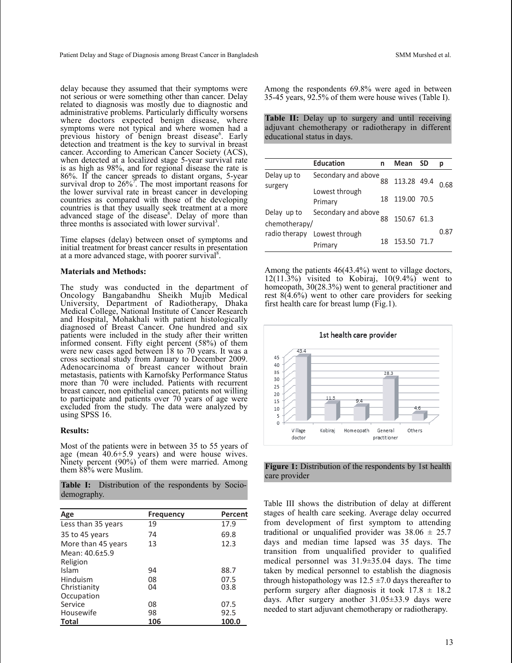delay because they assumed that their symptoms were not serious or were something other than cancer. Delay related to diagnosis was mostly due to diagnostic and administrative problems. Particularly difficulty worsens where doctors expected benign disease, where symptoms were not typical and where women had a previous history of benign breast disease<sup>6</sup>. Early detection and treatment is the key to survival in breast cancer. According to American Cancer Society (ACS), when detected at a localized stage 5-year survival rate is as high as 98%, and for regional disease the rate is 86%. If the cancer spreads to distant organs, 5-year survival drop to  $26\%$ <sup>7</sup>. The most important reasons for the lower survival rate in breast cancer in developing countries as compared with those of the developing countries is that they usually seek treatment at a more advanced stage of the disease<sup>8</sup>. Delay of more than three months is associated with lower survival<sup>3</sup>.

Time elapses (delay) between onset of symptoms and initial treatment for breast cancer results in presentation at a more advanced stage, with poorer survival<sup>8</sup>.

#### **Materials and Methods:**

The study was conducted in the department of Oncology Bangabandhu Sheikh Mujib Medical University, Department of Radiotherapy, Dhaka Medical College, National Institute of Cancer Research and Hospital, Mohakhali with patient histologically diagnosed of Breast Cancer. One hundred and six patients were included in the study after their written informed consent. Fifty eight percent (58%) of them were new cases aged between 18 to 70 years. It was a cross sectional study from January to December 2009. Adenocarcinoma of breast cancer without brain metastasis, patients with Karnofsky Performance Status more than 70 were included. Patients with recurrent breast cancer, non epithelial cancer, patients not willing to participate and patients over  $70$  years of age were excluded from the study. The data were analyzed by using SPSS 16.

#### **Results:**

Most of the patients were in between 35 to 55 years of age (mean 40.6+5.9 years) and were house wives. Ninety percent (90%) of them were married. Among them 88% were Muslim.

**Table I:** Distribution of the respondents by Sociodemography.

| Age                | <b>Frequency</b> | Percent |
|--------------------|------------------|---------|
| Less than 35 years | 19               | 17.9    |
| 35 to 45 years     | 74               | 69.8    |
| More than 45 years | 13               | 12.3    |
| Mean: 40.6+5.9     |                  |         |
| Religion           |                  |         |
| Islam              | 94               | 88.7    |
| Hinduism           | 08               | 07.5    |
| Christianity       | 04               | 03.8    |
| Occupation         |                  |         |
| Service            | 08               | 07.5    |
| Housewife          | 98               | 92.5    |
| Total              | 106              | 100.0   |

Among the respondents 69.8% were aged in between 35-45 years, 92.5% of them were house wives (Table I).

**Table II:** Delay up to surgery and until receiving adjuvant chemotherapy or radiotherapy in different educational status in days.

|                              | <b>Education</b>                        | n  | Mean        | -SD | р    |
|------------------------------|-----------------------------------------|----|-------------|-----|------|
|                              |                                         |    |             |     |      |
| Delay up to<br>surgery       | Secondary and above                     | 88 | 113.28 49.4 |     | 0.68 |
|                              | Lowest through<br>Primary               | 18 | 119.00 70.5 |     |      |
| Delay up to<br>chemotherapy/ | Secondary and above                     | 88 | 150.67 61.3 |     |      |
|                              | radio therapy Lowest through<br>Primary | 18 | 153.50 71.7 |     | 0.87 |

Among the patients 46(43.4%) went to village doctors,  $12(11.3\%)$  visited to Kobiraj,  $10(9.4\%)$  went to homeopath, 30(28.3%) went to general practitioner and rest 8(4.6%) went to other care providers for seeking first health care for breast lump (Fig.1).



**Figure 1:** Distribution of the respondents by 1st health care provider

Table III shows the distribution of delay at different stages of health care seeking. Average delay occurred from development of first symptom to attending traditional or unqualified provider was  $38.06 \pm 25.7$ days and median time lapsed was 35 days. The transition from unqualified provider to qualified medical personnel was 31.9±35.04 days. The time taken by medical personnel to establish the diagnosis through histopathology was  $12.5 \pm 7.0$  days thereafter to perform surgery after diagnosis it took  $17.8 \pm 18.2$ days. After surgery another 31.05±33.9 days were needed to start adjuvant chemotherapy or radiotherapy.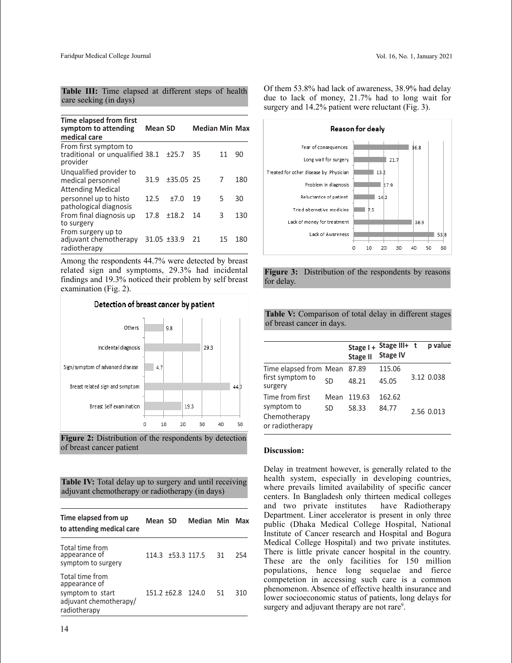|                        |  |  | Table III: Time elapsed at different steps of health |  |  |
|------------------------|--|--|------------------------------------------------------|--|--|
| care seeking (in days) |  |  |                                                      |  |  |

| Time elapsed from first<br>symptom to attending<br>medical care          | Mean SD     |             | <b>Median Min Max</b> |    |     |
|--------------------------------------------------------------------------|-------------|-------------|-----------------------|----|-----|
| From first symptom to<br>traditional or ungualified 38.1<br>provider     |             | ±25.7       | 35                    | 11 | 90  |
| Unqualified provider to<br>medical personnel<br><b>Attending Medical</b> | 31.9        | $±35.05$ 25 |                       | 7  | 180 |
| personnel up to histo<br>pathological diagnosis                          | 12.5        | $+7.0$      | 19                    | 5  | 30  |
| From final diagnosis up<br>to surgery                                    | 17.8        | ±18.2       | 14                    | 3  | 130 |
| From surgery up to<br>adjuvant chemotherapy<br>radiotherapy              | 31.05 ±33.9 |             | 21                    | 15 | 180 |

Among the respondents 44.7% were detected by breast related sign and symptoms, 29.3% had incidental findings and 19.3% noticed their problem by self breast examination (Fig. 2).





**Table IV:** Total delay up to surgery and until receiving adjuvant chemotherapy or radiotherapy (in days)

| Time elapsed from up<br>to attending medical care                                              | Mean SD           |                   | Median Min Max |    |     |
|------------------------------------------------------------------------------------------------|-------------------|-------------------|----------------|----|-----|
| Total time from<br>appearance of<br>symptom to surgery                                         | 114.3 ±53.3 117.5 |                   |                | 31 | 254 |
| Total time from<br>appearance of<br>symptom to start<br>adjuvant chemotherapy/<br>radiotherapy |                   | 151.2 ±62.8 124.0 |                | 51 | 310 |

Of them 53.8% had lack of awareness, 38.9% had delay due to lack of money, 21.7% had to long wait for surgery and 14.2% patient were reluctant (Fig. 3).



**Figure 3:** Distribution of the respondents by reasons for delay.

**Table V:** Comparison of total delay in different stages of breast cancer in days.

|                                                       |      | Stage I+<br><b>Stage II</b> | Stage III+<br><b>Stage IV</b> | t | p value    |
|-------------------------------------------------------|------|-----------------------------|-------------------------------|---|------------|
| Time elapsed from Mean<br>first symptom to<br>surgery |      | 87.89                       | 115.06                        |   |            |
|                                                       | SD   | 48.21                       | 45.05                         |   | 3.12 0.038 |
| Time from first                                       | Mean | 119.63                      | 162.62                        |   |            |
| symptom to                                            | SD   | 58.33                       | 84.77                         |   | 2.56 0.013 |
| Chemotherapy                                          |      |                             |                               |   |            |
| or radiotherapy                                       |      |                             |                               |   |            |

#### **Discussion:**

Delay in treatment however, is generally related to the health system, especially in developing countries, where prevails limited availability of specific cancer centers. In Bangladesh only thirteen medical colleges and two private institutes have Radiotherapy Department. Liner accelerator is present in only three public (Dhaka Medical College Hospital, National Institute of Cancer research and Hospital and Bogura Medical College Hospital) and two private institutes. There is little private cancer hospital in the country. These are the only facilities for 150 million populations, hence long sequelae and fierce competetion in accessing such care is a common phenomenon. Absence of effective health insurance and lower socioeconomic status of patients, long delays for surgery and adjuvant therapy are not rare<sup>9</sup>.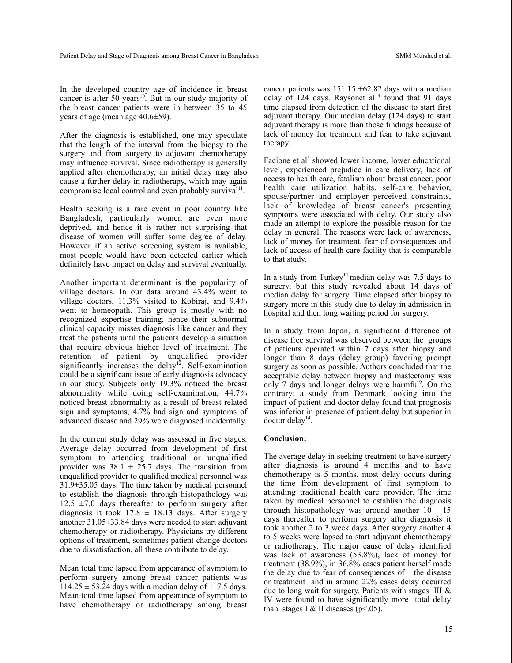In the developed country age of incidence in breast cancer is after 50 years 10 . But in our study majority of the breast cancer patients were in between 35 to 45 years of age (mean age 40.6±59).

After the diagnosis is established, one may speculate that the length of the interval from the biopsy to the surgery and from surgery to adjuvant chemotherapy may influence survival. Since radiotherapy is generally applied after chemotherapy, an initial delay may also cause a further delay in radiotherapy, which may again compromise local control and even probably survival<sup>11</sup>.

Health seeking is a rare event in poor country like Bangladesh, particularly women are even more deprived, and hence it is rather not surprising that disease of women will suffer some degree of delay. However if an active screening system is available, most people would have been detected earlier which definitely have impact on delay and survival eventually.

Another important determinant is the popularity of village doctors. In our data around 43.4% went to village doctors, 11.3% visited to Kobiraj, and 9.4% went to homeopath. This group is mostly with no recognized expertise training, hence their subnormal clinical capacity misses diagnosis like cancer and they treat the patients until the patients develop a situation that require obvious higher level of treatment. The retention of patient by unqualified provider significantly increases the delay<sup>12</sup>. Self-examination could be a significant issue of early diagnosis advocacy in our study. Subjects only 19.3% noticed the breast abnormality while doing self-examination, 44.7% noticed breast abnormality as a result of breast related sign and symptoms, 4.7% had sign and symptoms of advanced disease and 29% were diagnosed incidentally.

In the current study delay was assessed in five stages. Average delay occurred from development of first symptom to attending traditional or unqualified provider was  $38.1 \pm 25.7$  days. The transition from unqualified provider to qualified medical personnel was 31.9±35.05 days. The time taken by medical personnel to establish the diagnosis through histopathology was 12.5  $\pm$ 7.0 days thereafter to perform surgery after diagnosis it took  $17.8 \pm 18.13$  days. After surgery another 31.05±33.84 days were needed to start adjuvant chemotherapy or radiotherapy. Physicians try different options of treatment, sometimes patient change doctors due to dissatisfaction, all these contribute to delay.

Mean total time lapsed from appearance of symptom to perform surgery among breast cancer patients was  $114.25 \pm 53.24$  days with a median delay of 117.5 days. Mean total time lapsed from appearance of symptom to have chemotherapy or radiotherapy among breast cancer patients was  $151.15 \pm 62.82$  days with a median delay of 124 days. Raysonet al <sup>13</sup> found that 91 days time elapsed from detection of the disease to start first adjuvant therapy. Our median delay (124 days) to start adjuvant therapy is more than those findings because of lack of money for treatment and fear to take adjuvant therapy.

Facione et al<sup>5</sup> showed lower income, lower educational level, experienced prejudice in care delivery, lack of access to health care, fatalism about breast cancer, poor health care utilization habits, self-care behavior, spouse/partner and employer perceived constraints, lack of knowledge of breast cancer's presenting symptoms were associated with delay. Our study also made an attempt to explore the possible reason for the delay in general. The reasons were lack of awareness, lack of money for treatment, fear of consequences and lack of access of health care facility that is comparable to that study.

In a study from Turkey<sup>14</sup> median delay was 7.5 days to surgery, but this study revealed about 14 days of median delay for surgery. Time elapsed after biopsy to surgery more in this study due to delay in admission in hospital and then long waiting period for surgery.

In a study from Japan, a significant difference of disease free survival was observed between the groups of patients operated within 7 days after biopsy and longer than 8 days (delay group) favoring prompt surgery as soon as possible. Authors concluded that the acceptable delay between biopsy and mastectomy was only 7 days and longer delays were harmful<sup>9</sup>. On the contrary; a study from Denmark looking into the impact of patient and doctor delay found that prognosis was inferior in presence of patient delay but superior in doctor delay<sup>14</sup>.

### **Conclusion:**

The average delay in seeking treatment to have surgery after diagnosis is around 4 months and to have chemotherapy is 5 months, most delay occurs during the time from development of first symptom to attending traditional health care provider. The time taken by medical personnel to establish the diagnosis through histopathology was around another 10 - 15 days thereafter to perform surgery after diagnosis it took another 2 to 3 week days. After surgery another 4 to 5 weeks were lapsed to start adjuvant chemotherapy or radiotherapy. The major cause of delay identified was lack of awareness (53.8%), lack of money for treatment (38.9%), in 36.8% cases patient herself made the delay due to fear of consequences of the disease or treatment and in around 22% cases delay occurred due to long wait for surgery. Patients with stages III & IV were found to have significantly more total delay than stages I & II diseases ( $p<05$ ).